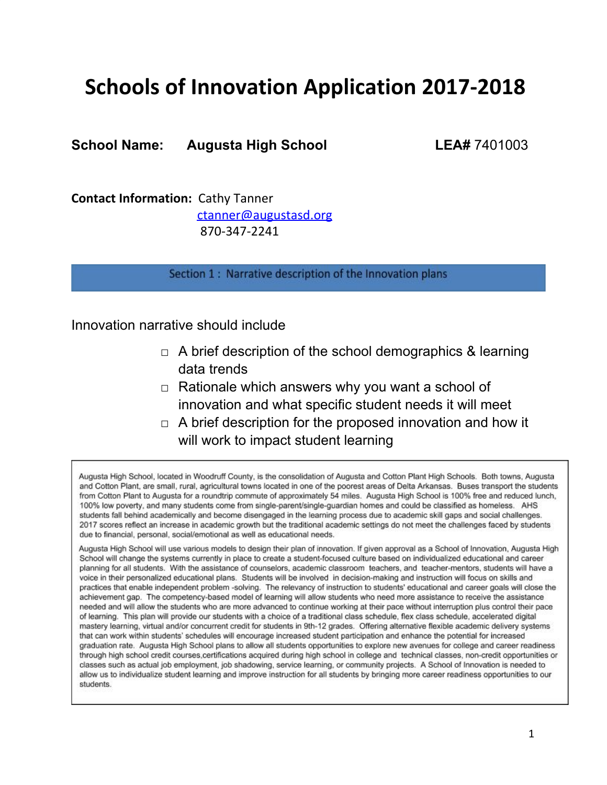# **Schools of Innovation Application 2017-2018**

**School Name: Augusta High School LEA#** 7401003

**Contact Information:** Cathy Tanner [ctanner@augustasd.org](mailto:ctanner@augustasd.org) 870-347-2241

Section 1 : Narrative description of the Innovation plans

Innovation narrative should include

- $\Box$  A brief description of the school demographics & learning data trends
- $\Box$  Rationale which answers why you want a school of innovation and what specific student needs it will meet
- $\Box$  A brief description for the proposed innovation and how it will work to impact student learning

Augusta High School, located in Woodruff County, is the consolidation of Augusta and Cotton Plant High Schools. Both towns, Augusta and Cotton Plant, are small, rural, agricultural towns located in one of the poorest areas of Delta Arkansas. Buses transport the students from Cotton Plant to Augusta for a roundtrip commute of approximately 54 miles. Augusta High School is 100% free and reduced lunch, 100% low poverty, and many students come from single-parent/single-guardian homes and could be classified as homeless. AHS students fall behind academically and become disengaged in the learning process due to academic skill gaps and social challenges. 2017 scores reflect an increase in academic growth but the traditional academic settings do not meet the challenges faced by students due to financial, personal, social/emotional as well as educational needs.

Augusta High School will use various models to design their plan of innovation. If given approval as a School of Innovation, Augusta High School will change the systems currently in place to create a student-focused culture based on individualized educational and career planning for all students. With the assistance of counselors, academic classroom teachers, and teacher-mentors, students will have a voice in their personalized educational plans. Students will be involved in decision-making and instruction will focus on skills and practices that enable independent problem -solving. The relevancy of instruction to students' educational and career goals will close the achievement gap. The competency-based model of learning will allow students who need more assistance to receive the assistance needed and will allow the students who are more advanced to continue working at their pace without interruption plus control their pace of learning. This plan will provide our students with a choice of a traditional class schedule, flex class schedule, accelerated digital mastery learning, virtual and/or concurrent credit for students in 9th-12 grades. Offering alternative flexible academic delivery systems that can work within students' schedules will encourage increased student participation and enhance the potential for increased graduation rate. Augusta High School plans to allow all students opportunities to explore new avenues for college and career readiness through high school credit courses, certifications acquired during high school in college and technical classes, non-credit opportunities or classes such as actual job employment, job shadowing, service learning, or community projects. A School of Innovation is needed to allow us to individualize student learning and improve instruction for all students by bringing more career readiness opportunities to our students.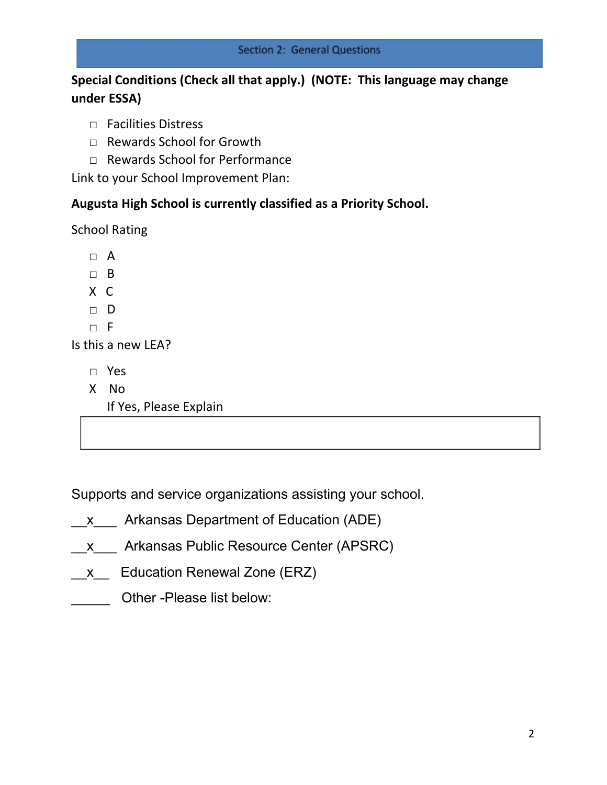# **Special Conditions (Check all that apply.) (NOTE: This language may change under ESSA)**

- □ Facilities Distress
- □ Rewards School for Growth
- □ Rewards School for Performance

Link to your School Improvement Plan:

# **Augusta High School is currently classified as a Priority School.**

School Rating

□ A

□ B

X C

□ D

 $\neg$  F

Is this a new LEA?

- □ Yes
- X No

If Yes, Please Explain

Supports and service organizations assisting your school.

- x Arkansas Department of Education (ADE)
- \_\_x\_\_\_ Arkansas Public Resource Center (APSRC)
- x Education Renewal Zone (ERZ)
- Other -Please list below: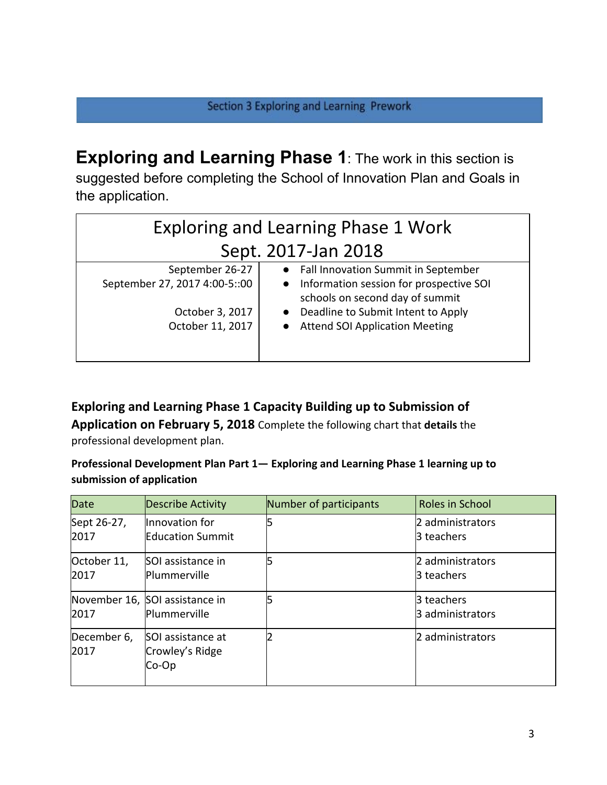**Exploring and Learning Phase 1**: The work in this section is suggested before completing the School of Innovation Plan and Goals in the application.

| <b>Exploring and Learning Phase 1 Work</b>       |                                                                                                                                  |  |  |
|--------------------------------------------------|----------------------------------------------------------------------------------------------------------------------------------|--|--|
| Sept. 2017-Jan 2018                              |                                                                                                                                  |  |  |
| September 26-27<br>September 27, 2017 4:00-5::00 | • Fall Innovation Summit in September<br>Information session for prospective SOI<br>$\bullet$<br>schools on second day of summit |  |  |
| October 3, 2017<br>October 11, 2017              | Deadline to Submit Intent to Apply<br><b>Attend SOI Application Meeting</b>                                                      |  |  |

**Exploring and Learning Phase 1 Capacity Building up to Submission of Application on February 5, 2018** Complete the following chart that **details** the professional development plan.

**Professional Development Plan Part 1— Exploring and Learning Phase 1 learning up to submission of application**

| <b>Date</b>         | Describe Activity                              | Number of participants | Roles in School                |
|---------------------|------------------------------------------------|------------------------|--------------------------------|
| Sept 26-27,<br>2017 | Innovation for<br><b>Education Summit</b>      | 15                     | 2 administrators<br>3 teachers |
| October 11,<br>2017 | SOI assistance in<br><b>Plummerville</b>       | 15                     | 2 administrators<br>3 teachers |
| 2017                | November 16, SOI assistance in<br>Plummerville |                        | 3 teachers<br>3 administrators |
| December 6,<br>2017 | SOI assistance at<br>Crowley's Ridge<br>Co-Op  | 12                     | 2 administrators               |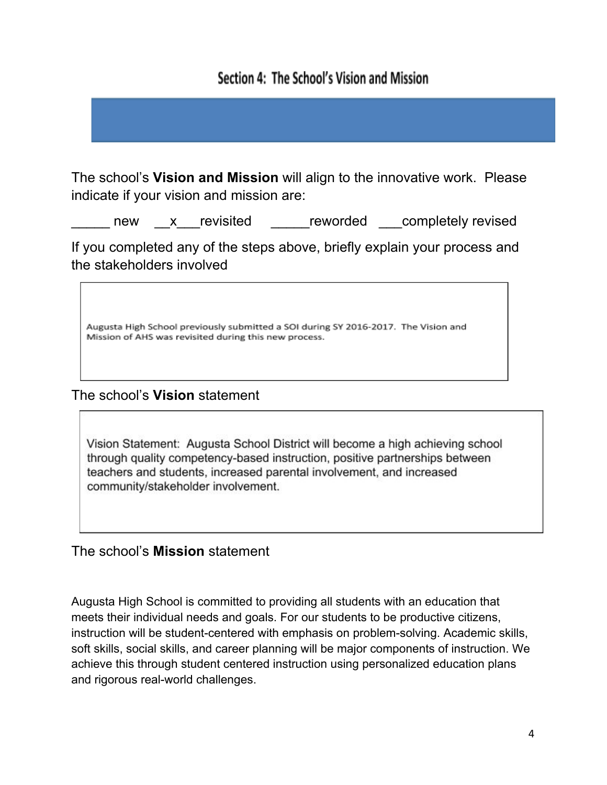# Section 4: The School's Vision and Mission

The school's **Vision and Mission** will align to the innovative work. Please indicate if your vision and mission are:

new x revisited reworded completely revised

If you completed any of the steps above, briefly explain your process and the stakeholders involved

Augusta High School previously submitted a SOI during SY 2016-2017. The Vision and Mission of AHS was revisited during this new process.

The school's **Vision** statement

Vision Statement: Augusta School District will become a high achieving school through quality competency-based instruction, positive partnerships between teachers and students, increased parental involvement, and increased community/stakeholder involvement.

The school's **Mission** statement

Augusta High School is committed to providing all students with an education that meets their individual needs and goals. For our students to be productive citizens, instruction will be student-centered with emphasis on problem-solving. Academic skills, soft skills, social skills, and career planning will be major components of instruction. We achieve this through student centered instruction using personalized education plans and rigorous real-world challenges.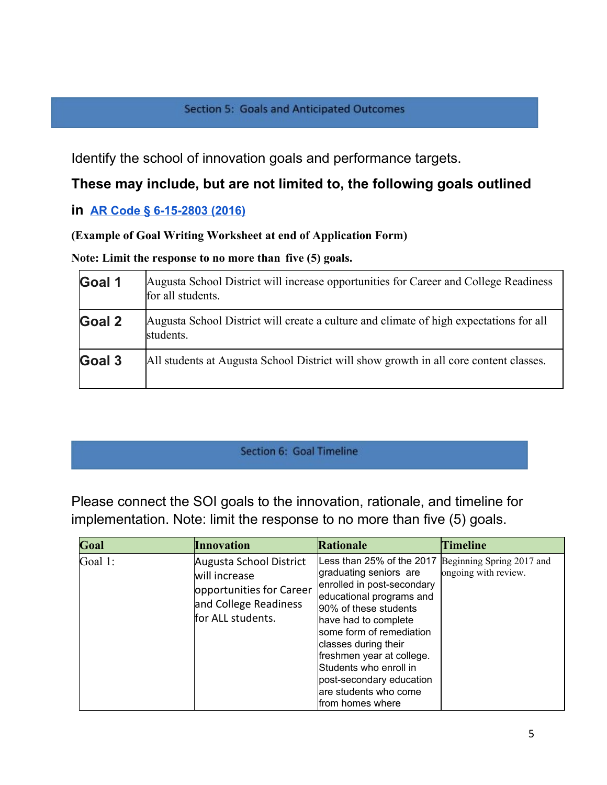#### **Section 5: Goals and Anticipated Outcomes**

Identify the school of innovation goals and performance targets.

# **These may include, but are not limited to, the following goals outlined**

# **in [AR Code § 6-15-2803 \(2016\)](http://law.justia.com/codes/arkansas/2016/title-6/subtitle-2/chapter-15/subchapter-28/section-6-15-2803)**

# **(Example of Goal Writing Worksheet at end of Application Form)**

**Note: Limit the response to no more than five (5) goals.**

| Goal 1 | Augusta School District will increase opportunities for Career and College Readiness<br>for all students. |
|--------|-----------------------------------------------------------------------------------------------------------|
| Goal 2 | Augusta School District will create a culture and climate of high expectations for all<br>students.       |
| Goal 3 | All students at Augusta School District will show growth in all core content classes.                     |

# Section 6: Goal Timeline

Please connect the SOI goals to the innovation, rationale, and timeline for implementation. Note: limit the response to no more than five (5) goals.

| Goal    | <b>Innovation</b>                                                                                                  | Rationale                                                                                                                                                                                                                                                                                                                                           | <b>Timeline</b>                                   |
|---------|--------------------------------------------------------------------------------------------------------------------|-----------------------------------------------------------------------------------------------------------------------------------------------------------------------------------------------------------------------------------------------------------------------------------------------------------------------------------------------------|---------------------------------------------------|
| Goal 1: | Augusta School District<br>will increase<br>opportunities for Career<br>and College Readiness<br>for ALL students. | Less than 25% of the 2017<br>graduating seniors are<br>enrolled in post-secondary<br>educational programs and<br>90% of these students<br>have had to complete<br>some form of remediation<br>classes during their<br>freshmen year at college.<br>Students who enroll in<br>post-secondary education<br>are students who come<br>lfrom homes where | Beginning Spring 2017 and<br>ongoing with review. |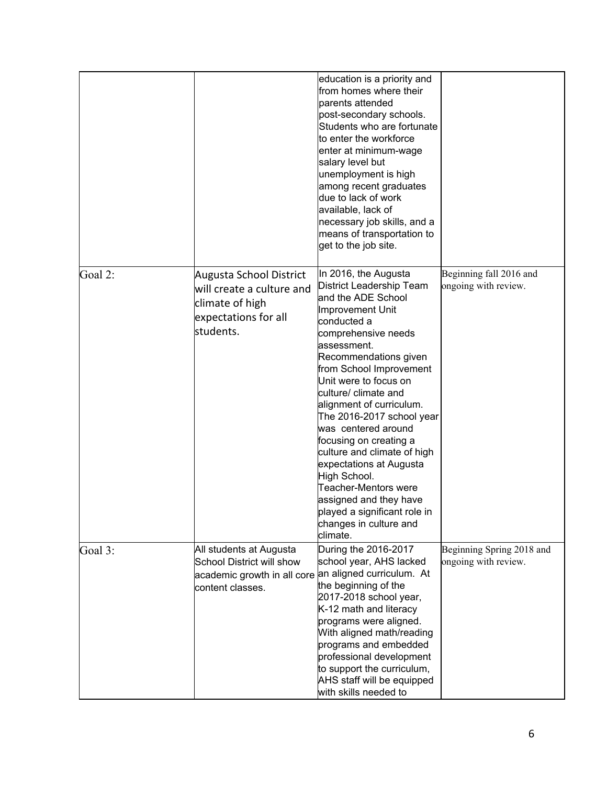|         |                                                                                                                                   | education is a priority and<br>from homes where their<br>parents attended<br>post-secondary schools.<br>Students who are fortunate<br>to enter the workforce<br>enter at minimum-wage<br>salary level but<br>unemployment is high<br>among recent graduates<br>due to lack of work<br>available, lack of<br>necessary job skills, and a<br>means of transportation to<br>get to the job site.                                                                                                                                                                           |                                                   |
|---------|-----------------------------------------------------------------------------------------------------------------------------------|-------------------------------------------------------------------------------------------------------------------------------------------------------------------------------------------------------------------------------------------------------------------------------------------------------------------------------------------------------------------------------------------------------------------------------------------------------------------------------------------------------------------------------------------------------------------------|---------------------------------------------------|
| Goal 2: | Augusta School District<br>will create a culture and<br>climate of high<br>expectations for all<br>students.                      | In 2016, the Augusta<br>District Leadership Team<br>and the ADE School<br>Improvement Unit<br>conducted a<br>comprehensive needs<br>assessment.<br>Recommendations given<br>from School Improvement<br>Unit were to focus on<br>culture/ climate and<br>alignment of curriculum.<br>The 2016-2017 school year<br>was centered around<br>focusing on creating a<br>culture and climate of high<br>expectations at Augusta<br>High School.<br><b>Teacher-Mentors were</b><br>assigned and they have<br>played a significant role in<br>changes in culture and<br>climate. | Beginning fall 2016 and<br>ongoing with review.   |
| Goal 3: | All students at Augusta<br>School District will show<br>academic growth in all core an aligned curriculum. At<br>content classes. | During the 2016-2017<br>school year, AHS lacked<br>the beginning of the<br>2017-2018 school year,<br>K-12 math and literacy<br>programs were aligned.<br>With aligned math/reading<br>programs and embedded<br>professional development<br>to support the curriculum,<br>AHS staff will be equipped<br>with skills needed to                                                                                                                                                                                                                                            | Beginning Spring 2018 and<br>ongoing with review. |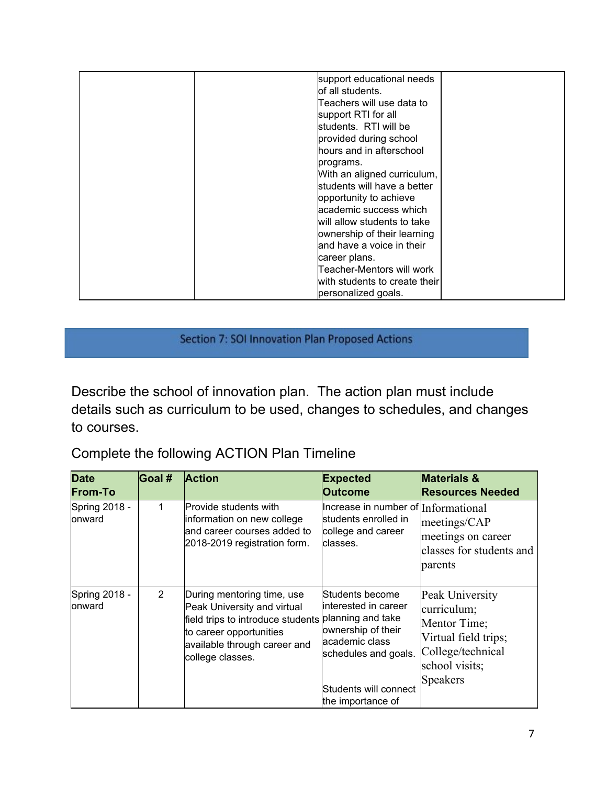| support educational needs<br>of all students.<br>Teachers will use data to<br>support RTI for all<br>students. RTI will be<br>provided during school<br>hours and in afterschool<br>programs.<br>With an aligned curriculum,<br>students will have a better<br>opportunity to achieve<br>academic success which<br>will allow students to take<br>ownership of their learning<br>land have a voice in their<br>career plans. |
|------------------------------------------------------------------------------------------------------------------------------------------------------------------------------------------------------------------------------------------------------------------------------------------------------------------------------------------------------------------------------------------------------------------------------|
| Teacher-Mentors will work<br>with students to create their<br>personalized goals.                                                                                                                                                                                                                                                                                                                                            |

Section 7: SOI Innovation Plan Proposed Actions

Describe the school of innovation plan. The action plan must include details such as curriculum to be used, changes to schedules, and changes to courses.

Complete the following ACTION Plan Timeline

| <b>Date</b><br><b>From-To</b> | <b>Goal #</b>  | <b>Action</b>                                                                                                                                                                 | <b>Expected</b><br><b>Outcome</b>                                                                                                                                           | <b>Materials &amp;</b><br><b>Resources Needed</b>                                                                                |
|-------------------------------|----------------|-------------------------------------------------------------------------------------------------------------------------------------------------------------------------------|-----------------------------------------------------------------------------------------------------------------------------------------------------------------------------|----------------------------------------------------------------------------------------------------------------------------------|
| Spring 2018 -<br>onward       | 1              | <b>Provide students with</b><br>information on new college<br>land career courses added to<br>2018-2019 registration form.                                                    | Increase in number of Informational<br>students enrolled in<br>college and career<br>classes.                                                                               | meetings/CAP<br>meetings on career<br>classes for students and<br>parents                                                        |
| Spring 2018 -<br>onward       | $\overline{2}$ | During mentoring time, use<br>Peak University and virtual<br>field trips to introduce students<br>to career opportunities<br>available through career and<br>college classes. | Students become<br>linterested in career<br>planning and take<br>ownership of their<br>academic class<br>schedules and goals.<br>Students will connect<br>the importance of | Peak University<br>curriculum;<br>Mentor Time;<br>Virtual field trips;<br>College/technical<br>school visits;<br><b>Speakers</b> |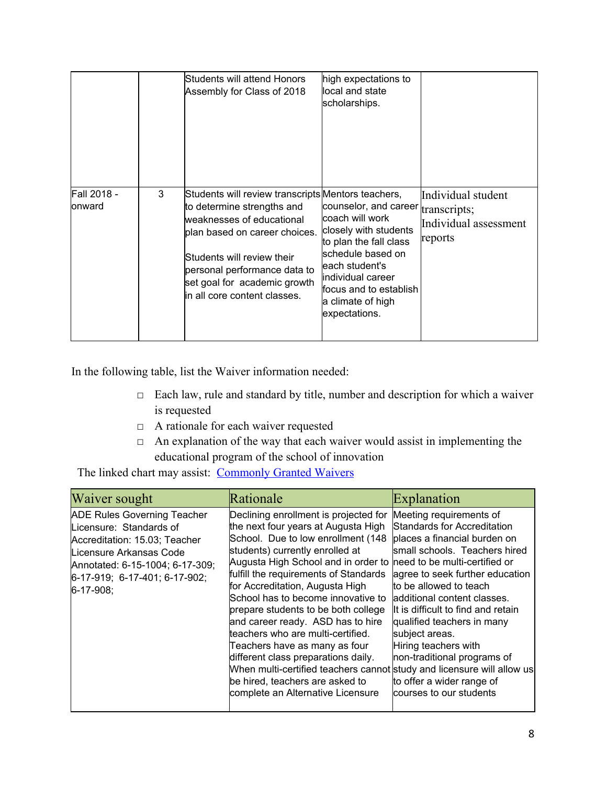|                       |   | Students will attend Honors<br>Assembly for Class of 2018                                                                                                                                                                                                                     | high expectations to<br>local and state<br>scholarships.                                                                                                                                                                               |                                                        |
|-----------------------|---|-------------------------------------------------------------------------------------------------------------------------------------------------------------------------------------------------------------------------------------------------------------------------------|----------------------------------------------------------------------------------------------------------------------------------------------------------------------------------------------------------------------------------------|--------------------------------------------------------|
| Fall 2018 -<br>onward | 3 | Students will review transcripts Mentors teachers,<br>to determine strengths and<br>weaknesses of educational<br>plan based on career choices.<br>Students will review their<br>personal performance data to<br>set goal for academic growth<br>lin all core content classes. | counselor, and career transcripts;<br>coach will work<br>closely with students<br>to plan the fall class<br>schedule based on<br>each student's<br>lindividual career<br>lfocus and to establish<br>a climate of high<br>expectations. | Individual student<br>Individual assessment<br>reports |

In the following table, list the Waiver information needed:

- □ Each law, rule and standard by title, number and description for which a waiver is requested
- □ A rationale for each waiver requested
- $\Box$  An explanation of the way that each waiver would assist in implementing the educational program of the school of innovation

The linked chart may assist: [Commonly Granted Waivers](http://www.arkansased.gov/public/userfiles/Learning_Services/Charter%20and%20Home%20School/Charter%20School-Division%20of%20Learning%20Services/Applications/Waiver_Document.pdf)

| Waiver sought                                                                                                                                                                                                        | Rationale                                                                                                                                                                                                                                                                                                                                                                                                                                                                                                                                                                                                                                                 | Explanation                                                                                                                                                                                                                                                                                                                                                                                                                                                  |
|----------------------------------------------------------------------------------------------------------------------------------------------------------------------------------------------------------------------|-----------------------------------------------------------------------------------------------------------------------------------------------------------------------------------------------------------------------------------------------------------------------------------------------------------------------------------------------------------------------------------------------------------------------------------------------------------------------------------------------------------------------------------------------------------------------------------------------------------------------------------------------------------|--------------------------------------------------------------------------------------------------------------------------------------------------------------------------------------------------------------------------------------------------------------------------------------------------------------------------------------------------------------------------------------------------------------------------------------------------------------|
| <b>ADE Rules Governing Teacher</b><br>Licensure: Standards of<br>Accreditation: 15.03; Teacher<br>Licensure Arkansas Code<br>Annotated: 6-15-1004; 6-17-309;<br>$6-17-919$ ; 6-17-401; 6-17-902;<br>$6 - 17 - 908$ ; | Declining enrollment is projected for<br>the next four years at Augusta High<br>School. Due to low enrollment (148<br>students) currently enrolled at<br>Augusta High School and in order to<br>fulfill the requirements of Standards<br>for Accreditation, Augusta High<br>School has to become innovative to<br>prepare students to be both college<br>and career ready. ASD has to hire<br>teachers who are multi-certified.<br>Teachers have as many as four<br>different class preparations daily.<br>When multi-certified teachers cannot study and licensure will allow us<br>be hired, teachers are asked to<br>complete an Alternative Licensure | Meeting requirements of<br>Standards for Accreditation<br>places a financial burden on<br>small schools. Teachers hired<br>lneed to be multi-certified or<br>agree to seek further education<br>to be allowed to teach<br>ladditional content classes.<br>llt is difficult to find and retain<br>qualified teachers in many<br>subject areas.<br>Hiring teachers with<br>non-traditional programs of<br>to offer a wider range of<br>courses to our students |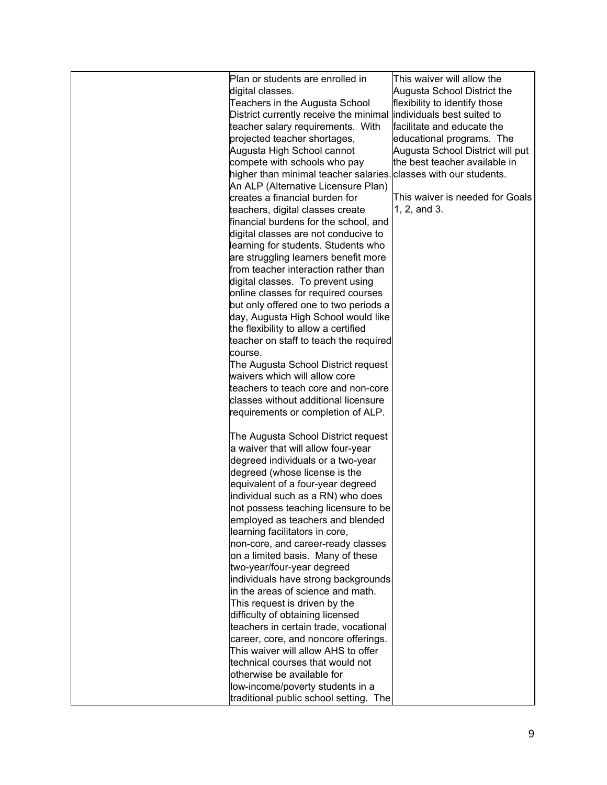| Plan or students are enrolled in       | This waiver will allow the       |
|----------------------------------------|----------------------------------|
| digital classes.                       | Augusta School District the      |
| Teachers in the Augusta School         | flexibility to identify those    |
| District currently receive the minimal | individuals best suited to       |
| teacher salary requirements. With      | facilitate and educate the       |
| projected teacher shortages,           | educational programs. The        |
| Augusta High School cannot             | Augusta School District will put |
| compete with schools who pay           | the best teacher available in    |
| higher than minimal teacher salaries.  | classes with our students.       |
| An ALP (Alternative Licensure Plan)    |                                  |
| creates a financial burden for         | This waiver is needed for Goals  |
| teachers, digital classes create       | 1, 2, and 3.                     |
| financial burdens for the school, and  |                                  |
| digital classes are not conducive to   |                                  |
| learning for students. Students who    |                                  |
| are struggling learners benefit more   |                                  |
| from teacher interaction rather than   |                                  |
| digital classes. To prevent using      |                                  |
| online classes for required courses    |                                  |
| but only offered one to two periods a  |                                  |
| day, Augusta High School would like    |                                  |
| the flexibility to allow a certified   |                                  |
| teacher on staff to teach the required |                                  |
| course.                                |                                  |
| The Augusta School District request    |                                  |
| waivers which will allow core          |                                  |
| teachers to teach core and non-core    |                                  |
| classes without additional licensure   |                                  |
| requirements or completion of ALP.     |                                  |
|                                        |                                  |
| The Augusta School District request    |                                  |
| a waiver that will allow four-year     |                                  |
| degreed individuals or a two-year      |                                  |
| degreed (whose license is the          |                                  |
| equivalent of a four-year degreed      |                                  |
| individual such as a RN) who does      |                                  |
| not possess teaching licensure to be   |                                  |
| employed as teachers and blended       |                                  |
| learning facilitators in core,         |                                  |
| non-core, and career-ready classes     |                                  |
| on a limited basis. Many of these      |                                  |
| two-year/four-year degreed             |                                  |
| individuals have strong backgrounds    |                                  |
| in the areas of science and math.      |                                  |
| This request is driven by the          |                                  |
| difficulty of obtaining licensed       |                                  |
| teachers in certain trade, vocational  |                                  |
| career, core, and noncore offerings.   |                                  |
| This waiver will allow AHS to offer    |                                  |
| technical courses that would not       |                                  |
| otherwise be available for             |                                  |
| low-income/poverty students in a       |                                  |
| traditional public school setting. The |                                  |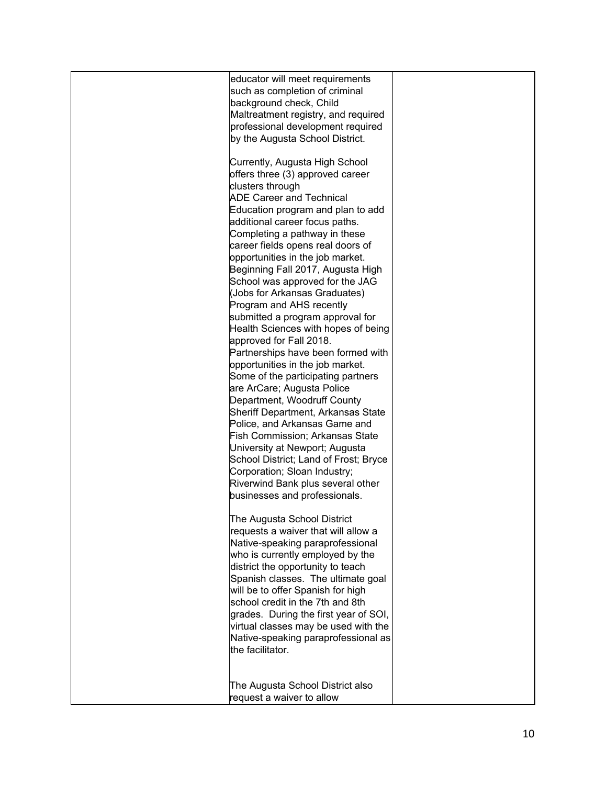| educator will meet requirements<br>such as completion of criminal<br>background check, Child<br>Maltreatment registry, and required<br>professional development required<br>by the Augusta School District.<br>Currently, Augusta High School<br>offers three (3) approved career<br>clusters through<br><b>ADE Career and Technical</b><br>Education program and plan to add<br>additional career focus paths.<br>Completing a pathway in these<br>career fields opens real doors of<br>opportunities in the job market.<br>Beginning Fall 2017, Augusta High<br>School was approved for the JAG<br>(Jobs for Arkansas Graduates)<br>Program and AHS recently<br>submitted a program approval for<br>Health Sciences with hopes of being<br>approved for Fall 2018.<br>Partnerships have been formed with<br>opportunities in the job market.<br>Some of the participating partners<br>are ArCare; Augusta Police<br>Department, Woodruff County<br>Sheriff Department, Arkansas State<br>Police, and Arkansas Game and<br><b>Fish Commission; Arkansas State</b><br>University at Newport; Augusta<br>School District; Land of Frost; Bryce<br>Corporation; Sloan Industry;<br>Riverwind Bank plus several other<br>businesses and professionals. |  |
|-----------------------------------------------------------------------------------------------------------------------------------------------------------------------------------------------------------------------------------------------------------------------------------------------------------------------------------------------------------------------------------------------------------------------------------------------------------------------------------------------------------------------------------------------------------------------------------------------------------------------------------------------------------------------------------------------------------------------------------------------------------------------------------------------------------------------------------------------------------------------------------------------------------------------------------------------------------------------------------------------------------------------------------------------------------------------------------------------------------------------------------------------------------------------------------------------------------------------------------------------------|--|
| The Augusta School District<br>requests a waiver that will allow a<br>Native-speaking paraprofessional<br>who is currently employed by the<br>district the opportunity to teach<br>Spanish classes. The ultimate goal<br>will be to offer Spanish for high<br>school credit in the 7th and 8th<br>grades. During the first year of SOI,<br>virtual classes may be used with the<br>Native-speaking paraprofessional as<br>the facilitator.<br>The Augusta School District also<br>request a waiver to allow                                                                                                                                                                                                                                                                                                                                                                                                                                                                                                                                                                                                                                                                                                                                         |  |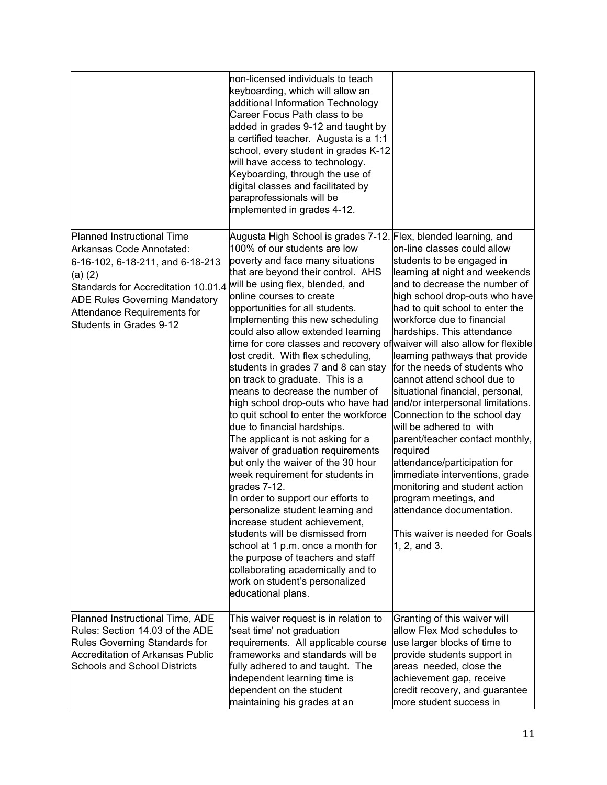|                                                                                                                                                                                                                                                | non-licensed individuals to teach<br>keyboarding, which will allow an<br>additional Information Technology<br>Career Focus Path class to be<br>added in grades 9-12 and taught by<br>a certified teacher. Augusta is a 1:1<br>school, every student in grades K-12<br>will have access to technology.<br>Keyboarding, through the use of<br>digital classes and facilitated by<br>paraprofessionals will be<br>implemented in grades 4-12.                                                                                                                                                                                                                                                                                                                                                                                                                                                                                                                                                                                                                                                                                                                                                    |                                                                                                                                                                                                                                                                                                                                                                                                                                                                                                                                                                                                                                                                                                                                                               |
|------------------------------------------------------------------------------------------------------------------------------------------------------------------------------------------------------------------------------------------------|-----------------------------------------------------------------------------------------------------------------------------------------------------------------------------------------------------------------------------------------------------------------------------------------------------------------------------------------------------------------------------------------------------------------------------------------------------------------------------------------------------------------------------------------------------------------------------------------------------------------------------------------------------------------------------------------------------------------------------------------------------------------------------------------------------------------------------------------------------------------------------------------------------------------------------------------------------------------------------------------------------------------------------------------------------------------------------------------------------------------------------------------------------------------------------------------------|---------------------------------------------------------------------------------------------------------------------------------------------------------------------------------------------------------------------------------------------------------------------------------------------------------------------------------------------------------------------------------------------------------------------------------------------------------------------------------------------------------------------------------------------------------------------------------------------------------------------------------------------------------------------------------------------------------------------------------------------------------------|
| Planned Instructional Time<br>Arkansas Code Annotated:<br>6-16-102, 6-18-211, and 6-18-213<br>(a) (2)<br>Standards for Accreditation 10.01.4<br><b>ADE Rules Governing Mandatory</b><br>Attendance Requirements for<br>Students in Grades 9-12 | Augusta High School is grades 7-12. Flex, blended learning, and<br>100% of our students are low<br>poverty and face many situations<br>that are beyond their control. AHS<br>will be using flex, blended, and<br>online courses to create<br>opportunities for all students.<br>Implementing this new scheduling<br>could also allow extended learning<br>time for core classes and recovery of waiver will also allow for flexible<br>lost credit. With flex scheduling,<br>students in grades 7 and 8 can stay<br>on track to graduate. This is a<br>means to decrease the number of<br>high school drop-outs who have had<br>to quit school to enter the workforce<br>due to financial hardships.<br>The applicant is not asking for a<br>waiver of graduation requirements<br>but only the waiver of the 30 hour<br>week requirement for students in<br>grades 7-12.<br>In order to support our efforts to<br>personalize student learning and<br>increase student achievement,<br>students will be dismissed from<br>school at 1 p.m. once a month for<br>the purpose of teachers and staff<br>collaborating academically and to<br>work on student's personalized<br>educational plans. | on-line classes could allow<br>students to be engaged in<br>learning at night and weekends<br>and to decrease the number of<br>high school drop-outs who have<br>had to quit school to enter the<br>workforce due to financial<br>hardships. This attendance<br>learning pathways that provide<br>for the needs of students who<br>cannot attend school due to<br>situational financial, personal,<br>and/or interpersonal limitations.<br>Connection to the school day<br>will be adhered to with<br>parent/teacher contact monthly,<br>required<br>attendance/participation for<br>immediate interventions, grade<br>monitoring and student action<br>program meetings, and<br>attendance documentation.<br>This waiver is needed for Goals<br>1, 2, and 3. |
| Planned Instructional Time, ADE<br>Rules: Section 14.03 of the ADE<br>Rules Governing Standards for<br><b>Accreditation of Arkansas Public</b><br><b>Schools and School Districts</b>                                                          | This waiver request is in relation to<br>'seat time' not graduation<br>requirements. All applicable course<br>frameworks and standards will be<br>fully adhered to and taught. The<br>independent learning time is<br>dependent on the student<br>maintaining his grades at an                                                                                                                                                                                                                                                                                                                                                                                                                                                                                                                                                                                                                                                                                                                                                                                                                                                                                                                | Granting of this waiver will<br>allow Flex Mod schedules to<br>use larger blocks of time to<br>provide students support in<br>areas needed, close the<br>achievement gap, receive<br>credit recovery, and guarantee<br>more student success in                                                                                                                                                                                                                                                                                                                                                                                                                                                                                                                |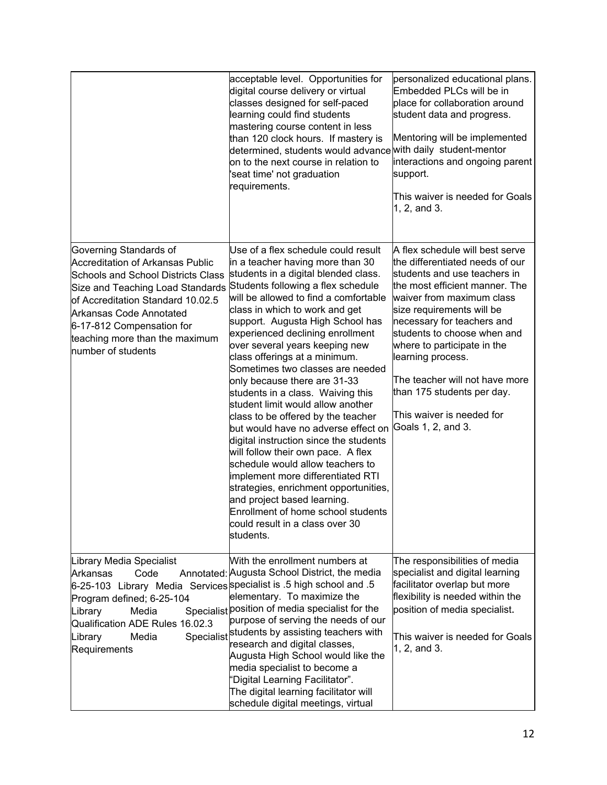|                                                                                                                                                                                                                                                                                                                | acceptable level. Opportunities for<br>digital course delivery or virtual<br>classes designed for self-paced<br>learning could find students<br>mastering course content in less<br>than 120 clock hours. If mastery is<br>determined, students would advance with daily student-mentor<br>on to the next course in relation to<br>'seat time' not graduation<br>requirements.                                                                                                                                                                                                                                                                                                                                                                                                                                                                                                                                                | personalized educational plans.<br>Embedded PLCs will be in<br>place for collaboration around<br>student data and progress.<br>Mentoring will be implemented<br>interactions and ongoing parent<br>support.<br>This waiver is needed for Goals<br>1, 2, and 3.                                                                                                                                                                     |
|----------------------------------------------------------------------------------------------------------------------------------------------------------------------------------------------------------------------------------------------------------------------------------------------------------------|-------------------------------------------------------------------------------------------------------------------------------------------------------------------------------------------------------------------------------------------------------------------------------------------------------------------------------------------------------------------------------------------------------------------------------------------------------------------------------------------------------------------------------------------------------------------------------------------------------------------------------------------------------------------------------------------------------------------------------------------------------------------------------------------------------------------------------------------------------------------------------------------------------------------------------|------------------------------------------------------------------------------------------------------------------------------------------------------------------------------------------------------------------------------------------------------------------------------------------------------------------------------------------------------------------------------------------------------------------------------------|
| Governing Standards of<br><b>Accreditation of Arkansas Public</b><br><b>Schools and School Districts Class</b><br>Size and Teaching Load Standards<br>of Accreditation Standard 10.02.5<br><b>Arkansas Code Annotated</b><br>6-17-812 Compensation for<br>teaching more than the maximum<br>number of students | Use of a flex schedule could result<br>in a teacher having more than 30<br>students in a digital blended class.<br>Students following a flex schedule<br>will be allowed to find a comfortable<br>class in which to work and get<br>support. Augusta High School has<br>experienced declining enrollment<br>over several years keeping new<br>class offerings at a minimum.<br>Sometimes two classes are needed<br>only because there are 31-33<br>students in a class. Waiving this<br>student limit would allow another<br>class to be offered by the teacher<br>but would have no adverse effect on<br>digital instruction since the students<br>will follow their own pace. A flex<br>schedule would allow teachers to<br>implement more differentiated RTI<br>strategies, enrichment opportunities,<br>and project based learning.<br>Enrollment of home school students<br>could result in a class over 30<br>students. | A flex schedule will best serve<br>the differentiated needs of our<br>students and use teachers in<br>the most efficient manner. The<br>waiver from maximum class<br>size requirements will be<br>necessary for teachers and<br>students to choose when and<br>where to participate in the<br>learning process.<br>The teacher will not have more<br>than 175 students per day.<br>This waiver is needed for<br>Goals 1, 2, and 3. |
| Library Media Specialist<br>Arkansas<br>Code<br>6-25-103 Library Media Services specialist is .5 high school and .5<br>Program defined; 6-25-104<br>Library<br>Media<br>Qualification ADE Rules 16.02.3<br>Specialist<br>Library<br>Media<br>Requirements                                                      | With the enrollment numbers at<br>Annotated: Augusta School District, the media<br>elementary. To maximize the<br>Specialist position of media specialist for the<br>purpose of serving the needs of our<br>students by assisting teachers with<br>research and digital classes,<br>Augusta High School would like the<br>media specialist to become a<br>"Digital Learning Facilitator".<br>The digital learning facilitator will<br>schedule digital meetings, virtual                                                                                                                                                                                                                                                                                                                                                                                                                                                      | The responsibilities of media<br>specialist and digital learning<br>facilitator overlap but more<br>flexibility is needed within the<br>position of media specialist.<br>This waiver is needed for Goals<br>1, 2, and 3.                                                                                                                                                                                                           |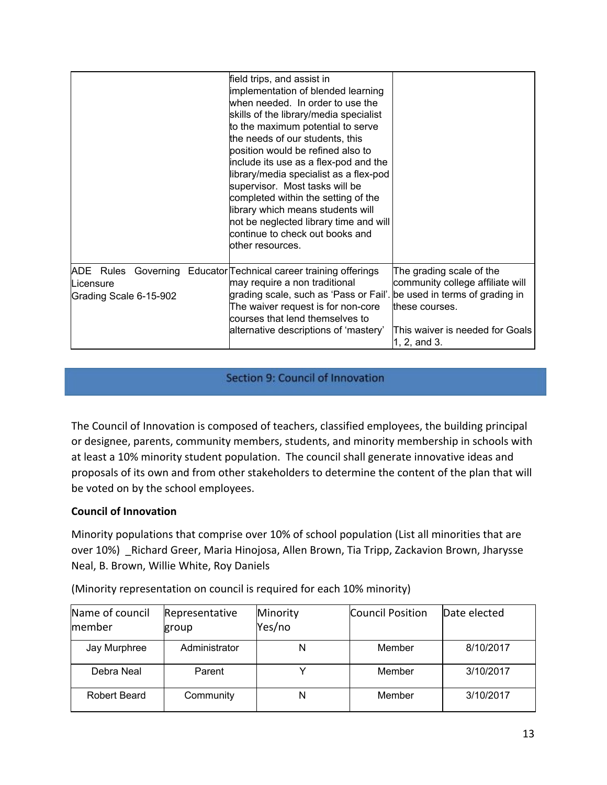|                                                  | field trips, and assist in<br>implementation of blended learning<br>when needed. In order to use the<br>skills of the library/media specialist<br>to the maximum potential to serve<br>the needs of our students, this<br>position would be refined also to<br>include its use as a flex-pod and the<br>library/media specialist as a flex-pod<br>supervisor. Most tasks will be<br>completed within the setting of the<br>library which means students will<br>not be neglected library time and will<br>continue to check out books and<br>lother resources. |                                                                                                                                   |
|--------------------------------------------------|----------------------------------------------------------------------------------------------------------------------------------------------------------------------------------------------------------------------------------------------------------------------------------------------------------------------------------------------------------------------------------------------------------------------------------------------------------------------------------------------------------------------------------------------------------------|-----------------------------------------------------------------------------------------------------------------------------------|
| ADE Rules<br>Licensure<br>Grading Scale 6-15-902 | Governing Educator Technical career training offerings<br>may require a non traditional<br>grading scale, such as 'Pass or Fail'. be used in terms of grading in<br>The waiver request is for non-core<br>courses that lend themselves to<br>alternative descriptions of 'mastery'                                                                                                                                                                                                                                                                             | The grading scale of the<br>community college affiliate will<br>these courses.<br>This waiver is needed for Goals<br>1, 2, and 3. |

#### Section 9: Council of Innovation

The Council of Innovation is composed of teachers, classified employees, the building principal or designee, parents, community members, students, and minority membership in schools with at least a 10% minority student population. The council shall generate innovative ideas and proposals of its own and from other stakeholders to determine the content of the plan that will be voted on by the school employees.

#### **Council of Innovation**

Minority populations that comprise over 10% of school population (List all minorities that are over 10%) \_Richard Greer, Maria Hinojosa, Allen Brown, Tia Tripp, Zackavion Brown, Jharysse Neal, B. Brown, Willie White, Roy Daniels

| Name of council<br>member | Representative<br>group | Minority<br>Yes/no | <b>Council Position</b> | Date elected |
|---------------------------|-------------------------|--------------------|-------------------------|--------------|
| Jay Murphree              | Administrator           | N                  | Member                  | 8/10/2017    |
| Debra Neal                | Parent                  |                    | Member                  | 3/10/2017    |
| Robert Beard              | Community               | N                  | Member                  | 3/10/2017    |

(Minority representation on council is required for each 10% minority)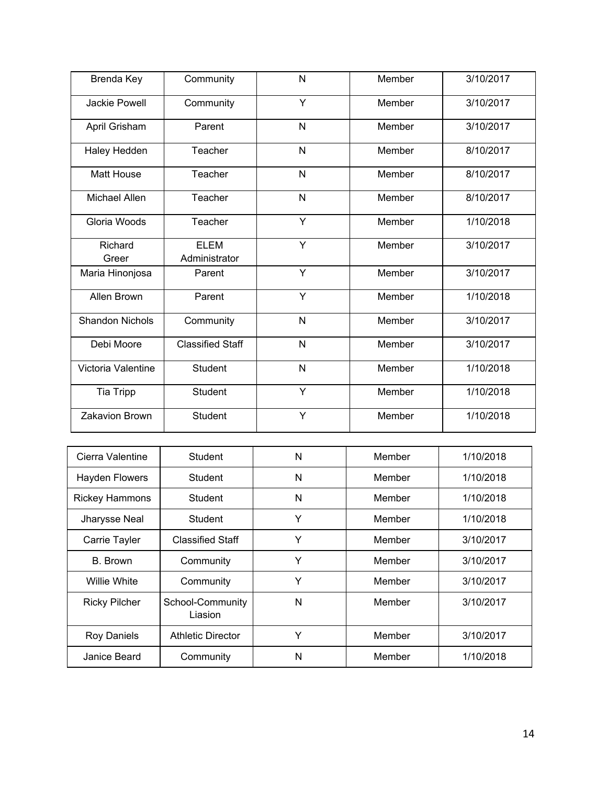| Brenda Key             | Community                    | N | Member | 3/10/2017 |
|------------------------|------------------------------|---|--------|-----------|
| Jackie Powell          | Community                    | Y | Member | 3/10/2017 |
| April Grisham          | Parent                       | N | Member | 3/10/2017 |
| Haley Hedden           | Teacher                      | N | Member | 8/10/2017 |
| <b>Matt House</b>      | Teacher                      | N | Member | 8/10/2017 |
| Michael Allen          | Teacher                      | N | Member | 8/10/2017 |
| Gloria Woods           | Teacher                      | Y | Member | 1/10/2018 |
| Richard<br>Greer       | <b>ELEM</b><br>Administrator | Y | Member | 3/10/2017 |
| Maria Hinonjosa        | Parent                       | Y | Member | 3/10/2017 |
| Allen Brown            | Parent                       | Y | Member | 1/10/2018 |
| <b>Shandon Nichols</b> | Community                    | N | Member | 3/10/2017 |
| Debi Moore             | <b>Classified Staff</b>      | N | Member | 3/10/2017 |
| Victoria Valentine     | <b>Student</b>               | N | Member | 1/10/2018 |
| Tia Tripp              | <b>Student</b>               | Y | Member | 1/10/2018 |
| Zakavion Brown         | <b>Student</b>               | Y | Member | 1/10/2018 |

| Cierra Valentine      | Student                     | N | Member | 1/10/2018 |
|-----------------------|-----------------------------|---|--------|-----------|
| <b>Hayden Flowers</b> | Student                     | N | Member | 1/10/2018 |
| <b>Rickey Hammons</b> | Student                     | N | Member | 1/10/2018 |
| Jharysse Neal         | Student                     | Y | Member | 1/10/2018 |
| Carrie Tayler         | <b>Classified Staff</b>     | Y | Member | 3/10/2017 |
| B. Brown              | Community                   | Y | Member | 3/10/2017 |
| <b>Willie White</b>   | Community                   | Y | Member | 3/10/2017 |
| <b>Ricky Pilcher</b>  | School-Community<br>Liasion | N | Member | 3/10/2017 |
| <b>Roy Daniels</b>    | <b>Athletic Director</b>    | Y | Member | 3/10/2017 |
| Janice Beard          | Community                   | N | Member | 1/10/2018 |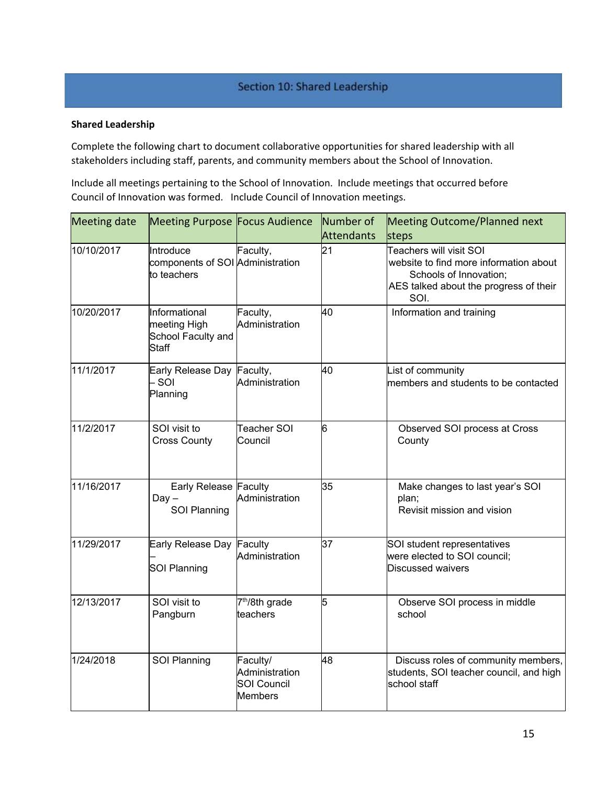#### Section 10: Shared Leadership

#### **Shared Leadership**

Complete the following chart to document collaborative opportunities for shared leadership with all stakeholders including staff, parents, and community members about the School of Innovation.

Include all meetings pertaining to the School of Innovation. Include meetings that occurred before Council of Innovation was formed. Include Council of Innovation meetings.

| <b>Meeting date</b> | Meeting Purpose Focus Audience                               |                                                             | Number of<br><b>Attendants</b> | Meeting Outcome/Planned next<br>steps                                                                                                         |
|---------------------|--------------------------------------------------------------|-------------------------------------------------------------|--------------------------------|-----------------------------------------------------------------------------------------------------------------------------------------------|
| 10/10/2017          | Introduce<br>components of SOI Administration<br>to teachers | Faculty,                                                    | 21                             | Teachers will visit SOI<br>website to find more information about<br>Schools of Innovation;<br>AES talked about the progress of their<br>SOI. |
| 10/20/2017          | Informational<br>meeting High<br>School Faculty and<br>Staff | Faculty,<br>Administration                                  | 40                             | Information and training                                                                                                                      |
| 11/1/2017           | Early Release Day<br>SOI<br>Planning                         | Faculty,<br>Administration                                  | 40                             | List of community<br>members and students to be contacted                                                                                     |
| 11/2/2017           | SOI visit to<br><b>Cross County</b>                          | <b>Teacher SOI</b><br>Council                               | l6                             | Observed SOI process at Cross<br>County                                                                                                       |
| 11/16/2017          | Early Release Faculty<br>$Day -$<br>SOI Planning             | Administration                                              | 35                             | Make changes to last year's SOI<br>plan;<br>Revisit mission and vision                                                                        |
| 11/29/2017          | Early Release Day<br><b>SOI Planning</b>                     | Faculty<br>Administration                                   | 37                             | SOI student representatives<br>were elected to SOI council;<br>Discussed waivers                                                              |
| 12/13/2017          | SOI visit to<br>Pangburn                                     | 7 <sup>th</sup> /8th grade<br>teachers                      | 5                              | Observe SOI process in middle<br>school                                                                                                       |
| 1/24/2018           | <b>SOI Planning</b>                                          | Faculty/<br>Administration<br><b>SOI Council</b><br>Members | 48                             | Discuss roles of community members,<br>students, SOI teacher council, and high<br>school staff                                                |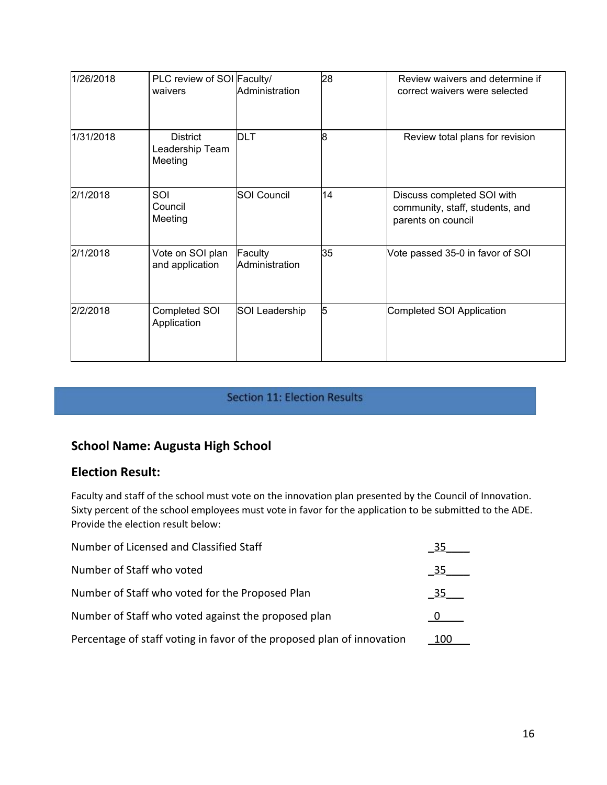| 1/26/2018 | PLC review of SOI Faculty/<br>waivers         | Administration            | 28 | Review waivers and determine if<br>correct waivers were selected                    |
|-----------|-----------------------------------------------|---------------------------|----|-------------------------------------------------------------------------------------|
| 1/31/2018 | <b>District</b><br>Leadership Team<br>Meeting | <b>DLT</b>                | 8  | Review total plans for revision                                                     |
| 2/1/2018  | SOI<br>Council<br>Meeting                     | <b>SOI Council</b>        | 14 | Discuss completed SOI with<br>community, staff, students, and<br>parents on council |
| 2/1/2018  | Vote on SOI plan<br>and application           | Faculty<br>Administration | 35 | Vote passed 35-0 in favor of SOI                                                    |
| 2/2/2018  | Completed SOI<br>Application                  | SOI Leadership            | 5  | Completed SOI Application                                                           |

# Section 11: Election Results

# **School Name: Augusta High School**

#### **Election Result:**

Faculty and staff of the school must vote on the innovation plan presented by the Council of Innovation. Sixty percent of the school employees must vote in favor for the application to be submitted to the ADE. Provide the election result below:

| Number of Licensed and Classified Staff                                |     |
|------------------------------------------------------------------------|-----|
| Number of Staff who voted                                              | 35  |
| Number of Staff who voted for the Proposed Plan                        | 35  |
| Number of Staff who voted against the proposed plan                    |     |
| Percentage of staff voting in favor of the proposed plan of innovation | 100 |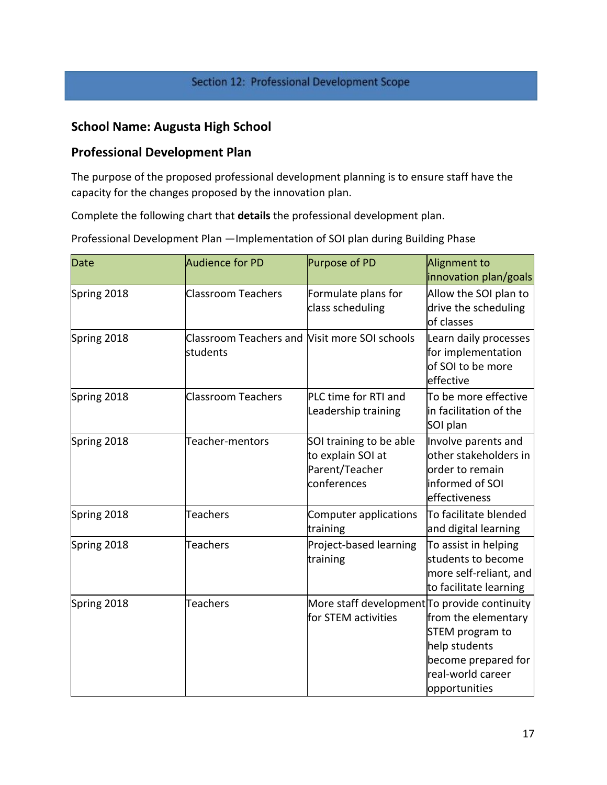# Section 12: Professional Development Scope

# **School Name: Augusta High School**

# **Professional Development Plan**

The purpose of the proposed professional development planning is to ensure staff have the capacity for the changes proposed by the innovation plan.

Complete the following chart that **details** the professional development plan.

Professional Development Plan —Implementation of SOI plan during Building Phase

| <b>Date</b> | Audience for PD                                           | Purpose of PD                                                                 | Alignment to<br>innovation plan/goals                                                                                |
|-------------|-----------------------------------------------------------|-------------------------------------------------------------------------------|----------------------------------------------------------------------------------------------------------------------|
| Spring 2018 | <b>Classroom Teachers</b>                                 | Formulate plans for<br>class scheduling                                       | Allow the SOI plan to<br>drive the scheduling<br>of classes                                                          |
| Spring 2018 | Classroom Teachers and Visit more SOI schools<br>students |                                                                               | Learn daily processes<br>for implementation<br>of SOI to be more<br>effective                                        |
| Spring 2018 | <b>Classroom Teachers</b>                                 | PLC time for RTI and<br>Leadership training                                   | To be more effective<br>in facilitation of the<br>SOI plan                                                           |
| Spring 2018 | Teacher-mentors                                           | SOI training to be able<br>to explain SOI at<br>Parent/Teacher<br>conferences | Involve parents and<br>other stakeholders in<br>order to remain<br>informed of SOI<br>effectiveness                  |
| Spring 2018 | <b>Teachers</b>                                           | Computer applications<br>training                                             | To facilitate blended<br>and digital learning                                                                        |
| Spring 2018 | <b>Teachers</b>                                           | Project-based learning<br>training                                            | To assist in helping<br>students to become<br>more self-reliant, and<br>to facilitate learning                       |
| Spring 2018 | <b>Teachers</b>                                           | More staff development To provide continuity<br>for STEM activities           | from the elementary<br>STEM program to<br>help students<br>become prepared for<br>real-world career<br>opportunities |